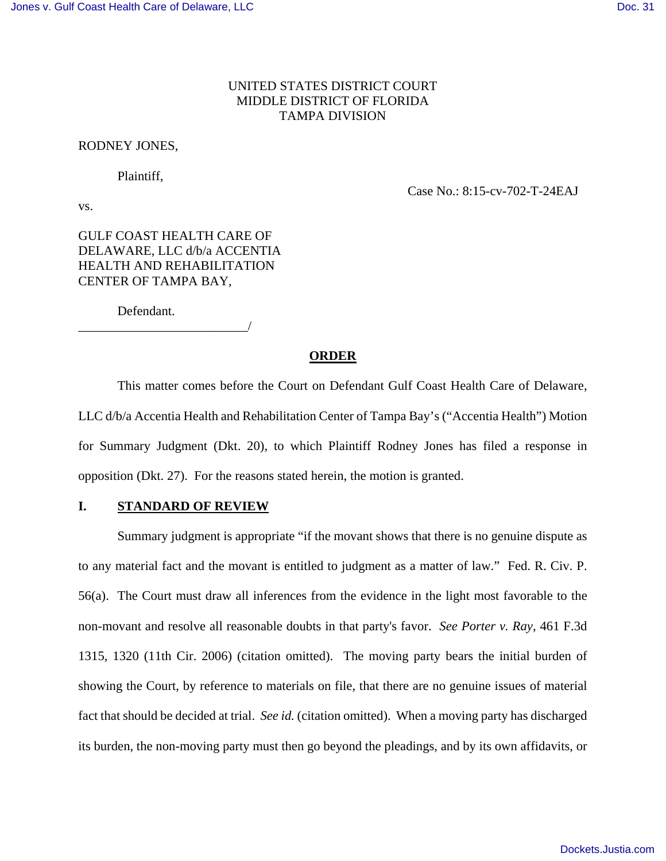# UNITED STATES DISTRICT COURT MIDDLE DISTRICT OF FLORIDA TAMPA DIVISION

## RODNEY JONES,

Plaintiff,

vs.

Case No.: 8:15-cv-702-T-24EAJ

GULF COAST HEALTH CARE OF DELAWARE, LLC d/b/a ACCENTIA HEALTH AND REHABILITATION CENTER OF TAMPA BAY,

Defendant.

\_\_\_\_\_\_\_\_\_\_\_\_\_\_\_\_\_\_\_\_\_\_\_\_\_\_/

### **ORDER**

 This matter comes before the Court on Defendant Gulf Coast Health Care of Delaware, LLC d/b/a Accentia Health and Rehabilitation Center of Tampa Bay's ("Accentia Health") Motion for Summary Judgment (Dkt. 20), to which Plaintiff Rodney Jones has filed a response in opposition (Dkt. 27). For the reasons stated herein, the motion is granted.

# **I. STANDARD OF REVIEW**

 Summary judgment is appropriate "if the movant shows that there is no genuine dispute as to any material fact and the movant is entitled to judgment as a matter of law." Fed. R. Civ. P. 56(a). The Court must draw all inferences from the evidence in the light most favorable to the non-movant and resolve all reasonable doubts in that party's favor. *See Porter v. Ray*, 461 F.3d 1315, 1320 (11th Cir. 2006) (citation omitted). The moving party bears the initial burden of showing the Court, by reference to materials on file, that there are no genuine issues of material fact that should be decided at trial. *See id.* (citation omitted). When a moving party has discharged its burden, the non-moving party must then go beyond the pleadings, and by its own affidavits, or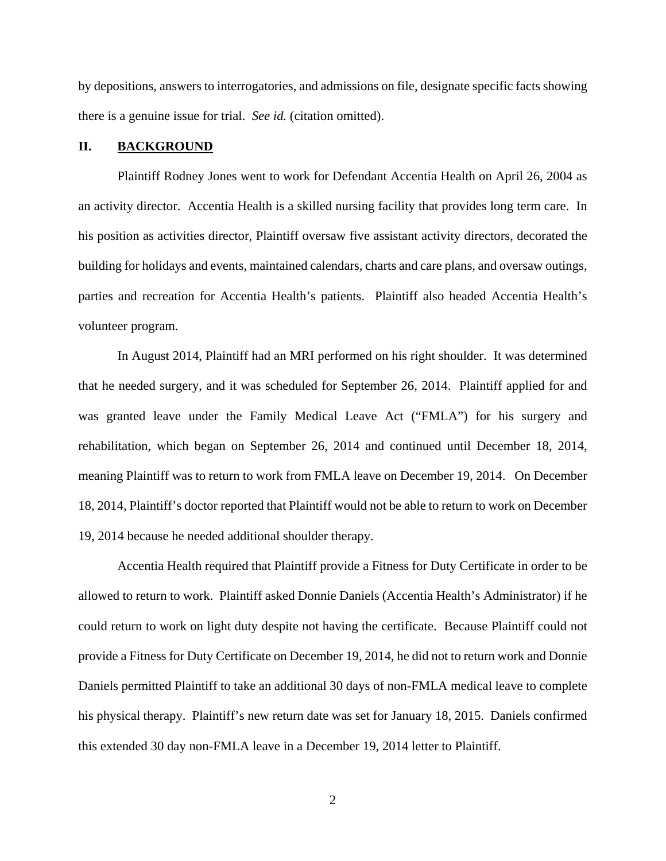by depositions, answers to interrogatories, and admissions on file, designate specific facts showing there is a genuine issue for trial. *See id.* (citation omitted).

## **II. BACKGROUND**

Plaintiff Rodney Jones went to work for Defendant Accentia Health on April 26, 2004 as an activity director. Accentia Health is a skilled nursing facility that provides long term care. In his position as activities director, Plaintiff oversaw five assistant activity directors, decorated the building for holidays and events, maintained calendars, charts and care plans, and oversaw outings, parties and recreation for Accentia Health's patients. Plaintiff also headed Accentia Health's volunteer program.

In August 2014, Plaintiff had an MRI performed on his right shoulder. It was determined that he needed surgery, and it was scheduled for September 26, 2014. Plaintiff applied for and was granted leave under the Family Medical Leave Act ("FMLA") for his surgery and rehabilitation, which began on September 26, 2014 and continued until December 18, 2014, meaning Plaintiff was to return to work from FMLA leave on December 19, 2014. On December 18, 2014, Plaintiff's doctor reported that Plaintiff would not be able to return to work on December 19, 2014 because he needed additional shoulder therapy.

Accentia Health required that Plaintiff provide a Fitness for Duty Certificate in order to be allowed to return to work. Plaintiff asked Donnie Daniels (Accentia Health's Administrator) if he could return to work on light duty despite not having the certificate. Because Plaintiff could not provide a Fitness for Duty Certificate on December 19, 2014, he did not to return work and Donnie Daniels permitted Plaintiff to take an additional 30 days of non-FMLA medical leave to complete his physical therapy. Plaintiff's new return date was set for January 18, 2015. Daniels confirmed this extended 30 day non-FMLA leave in a December 19, 2014 letter to Plaintiff.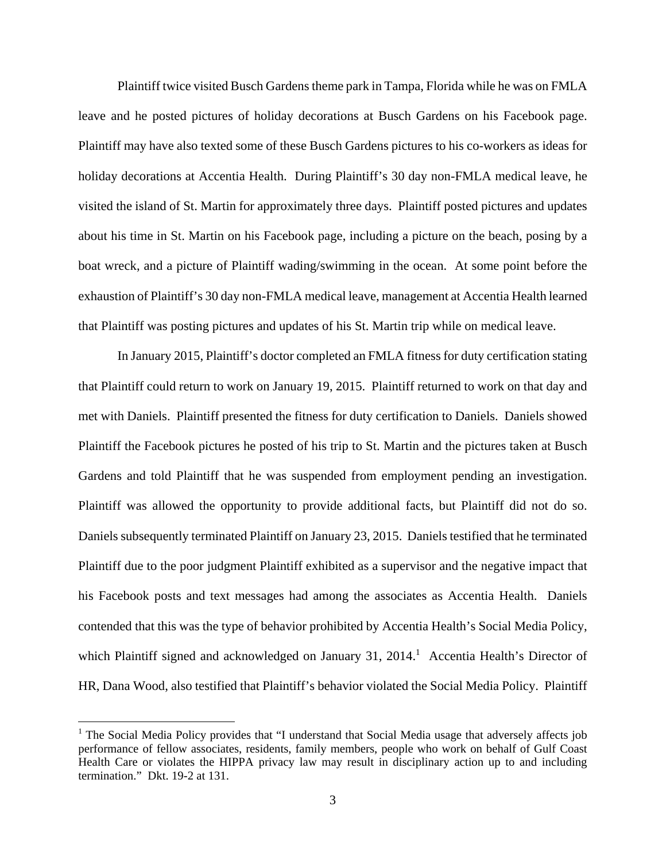Plaintiff twice visited Busch Gardens theme park in Tampa, Florida while he was on FMLA leave and he posted pictures of holiday decorations at Busch Gardens on his Facebook page. Plaintiff may have also texted some of these Busch Gardens pictures to his co-workers as ideas for holiday decorations at Accentia Health. During Plaintiff's 30 day non-FMLA medical leave, he visited the island of St. Martin for approximately three days. Plaintiff posted pictures and updates about his time in St. Martin on his Facebook page, including a picture on the beach, posing by a boat wreck, and a picture of Plaintiff wading/swimming in the ocean. At some point before the exhaustion of Plaintiff's 30 day non-FMLA medical leave, management at Accentia Health learned that Plaintiff was posting pictures and updates of his St. Martin trip while on medical leave.

In January 2015, Plaintiff's doctor completed an FMLA fitness for duty certification stating that Plaintiff could return to work on January 19, 2015. Plaintiff returned to work on that day and met with Daniels. Plaintiff presented the fitness for duty certification to Daniels. Daniels showed Plaintiff the Facebook pictures he posted of his trip to St. Martin and the pictures taken at Busch Gardens and told Plaintiff that he was suspended from employment pending an investigation. Plaintiff was allowed the opportunity to provide additional facts, but Plaintiff did not do so. Daniels subsequently terminated Plaintiff on January 23, 2015. Daniels testified that he terminated Plaintiff due to the poor judgment Plaintiff exhibited as a supervisor and the negative impact that his Facebook posts and text messages had among the associates as Accentia Health. Daniels contended that this was the type of behavior prohibited by Accentia Health's Social Media Policy, which Plaintiff signed and acknowledged on January 31, 2014.<sup>1</sup> Accentia Health's Director of HR, Dana Wood, also testified that Plaintiff's behavior violated the Social Media Policy. Plaintiff

<sup>&</sup>lt;sup>1</sup> The Social Media Policy provides that "I understand that Social Media usage that adversely affects job performance of fellow associates, residents, family members, people who work on behalf of Gulf Coast Health Care or violates the HIPPA privacy law may result in disciplinary action up to and including termination." Dkt. 19-2 at 131.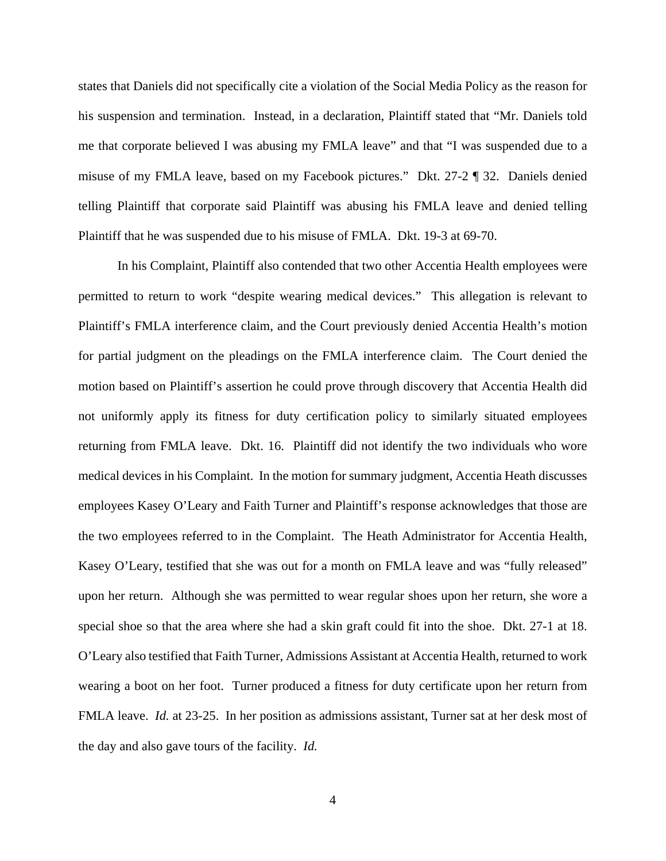states that Daniels did not specifically cite a violation of the Social Media Policy as the reason for his suspension and termination. Instead, in a declaration, Plaintiff stated that "Mr. Daniels told me that corporate believed I was abusing my FMLA leave" and that "I was suspended due to a misuse of my FMLA leave, based on my Facebook pictures." Dkt. 27-2 ¶ 32. Daniels denied telling Plaintiff that corporate said Plaintiff was abusing his FMLA leave and denied telling Plaintiff that he was suspended due to his misuse of FMLA. Dkt. 19-3 at 69-70.

 In his Complaint, Plaintiff also contended that two other Accentia Health employees were permitted to return to work "despite wearing medical devices." This allegation is relevant to Plaintiff's FMLA interference claim, and the Court previously denied Accentia Health's motion for partial judgment on the pleadings on the FMLA interference claim. The Court denied the motion based on Plaintiff's assertion he could prove through discovery that Accentia Health did not uniformly apply its fitness for duty certification policy to similarly situated employees returning from FMLA leave. Dkt. 16. Plaintiff did not identify the two individuals who wore medical devices in his Complaint. In the motion for summary judgment, Accentia Heath discusses employees Kasey O'Leary and Faith Turner and Plaintiff's response acknowledges that those are the two employees referred to in the Complaint. The Heath Administrator for Accentia Health, Kasey O'Leary, testified that she was out for a month on FMLA leave and was "fully released" upon her return. Although she was permitted to wear regular shoes upon her return, she wore a special shoe so that the area where she had a skin graft could fit into the shoe. Dkt. 27-1 at 18. O'Leary also testified that Faith Turner, Admissions Assistant at Accentia Health, returned to work wearing a boot on her foot. Turner produced a fitness for duty certificate upon her return from FMLA leave. *Id.* at 23-25. In her position as admissions assistant, Turner sat at her desk most of the day and also gave tours of the facility. *Id.*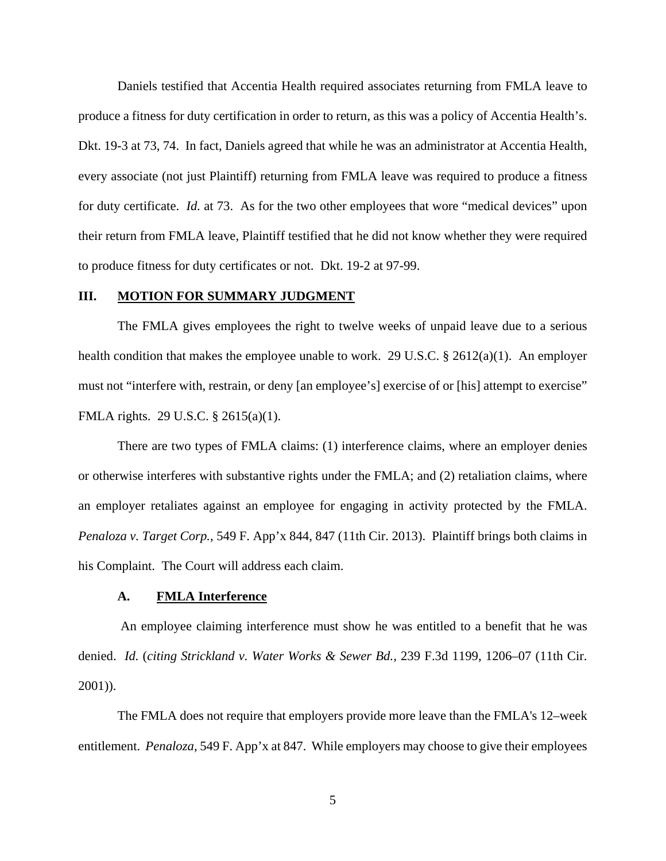Daniels testified that Accentia Health required associates returning from FMLA leave to produce a fitness for duty certification in order to return, as this was a policy of Accentia Health's. Dkt. 19-3 at 73, 74. In fact, Daniels agreed that while he was an administrator at Accentia Health, every associate (not just Plaintiff) returning from FMLA leave was required to produce a fitness for duty certificate. *Id.* at 73. As for the two other employees that wore "medical devices" upon their return from FMLA leave, Plaintiff testified that he did not know whether they were required to produce fitness for duty certificates or not. Dkt. 19-2 at 97-99.

# **III. MOTION FOR SUMMARY JUDGMENT**

The FMLA gives employees the right to twelve weeks of unpaid leave due to a serious health condition that makes the employee unable to work. 29 U.S.C. § 2612(a)(1). An employer must not "interfere with, restrain, or deny [an employee's] exercise of or [his] attempt to exercise" FMLA rights. 29 U.S.C. § 2615(a)(1).

There are two types of FMLA claims: (1) interference claims, where an employer denies or otherwise interferes with substantive rights under the FMLA; and (2) retaliation claims, where an employer retaliates against an employee for engaging in activity protected by the FMLA. *Penaloza v. Target Corp.*, 549 F. App'x 844, 847 (11th Cir. 2013). Plaintiff brings both claims in his Complaint. The Court will address each claim.

### **A. FMLA Interference**

 An employee claiming interference must show he was entitled to a benefit that he was denied. *Id.* (*citing Strickland v. Water Works & Sewer Bd.,* 239 F.3d 1199, 1206–07 (11th Cir. 2001)).

The FMLA does not require that employers provide more leave than the FMLA's 12–week entitlement. *Penaloza*, 549 F. App'x at 847. While employers may choose to give their employees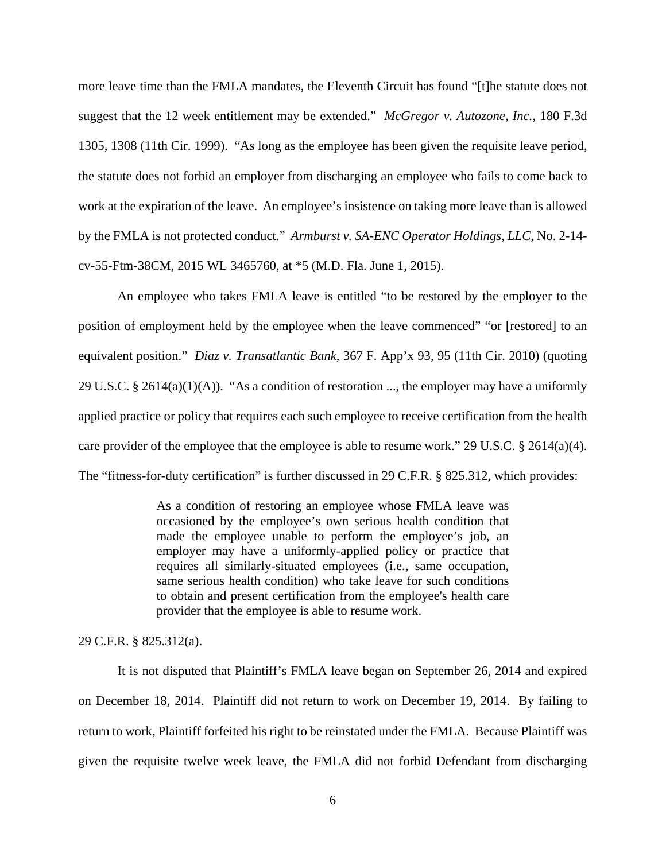more leave time than the FMLA mandates, the Eleventh Circuit has found "[t]he statute does not suggest that the 12 week entitlement may be extended." *McGregor v. Autozone, Inc.*, 180 F.3d 1305, 1308 (11th Cir. 1999). "As long as the employee has been given the requisite leave period, the statute does not forbid an employer from discharging an employee who fails to come back to work at the expiration of the leave. An employee's insistence on taking more leave than is allowed by the FMLA is not protected conduct." *Armburst v. SA-ENC Operator Holdings, LLC*, No. 2-14 cv-55-Ftm-38CM, 2015 WL 3465760, at \*5 (M.D. Fla. June 1, 2015).

An employee who takes FMLA leave is entitled "to be restored by the employer to the position of employment held by the employee when the leave commenced" "or [restored] to an equivalent position." *Diaz v. Transatlantic Bank*, 367 F. App'x 93, 95 (11th Cir. 2010) (quoting 29 U.S.C. § 2614(a)(1)(A)). "As a condition of restoration ..., the employer may have a uniformly applied practice or policy that requires each such employee to receive certification from the health care provider of the employee that the employee is able to resume work." 29 U.S.C. § 2614(a)(4). The "fitness-for-duty certification" is further discussed in 29 C.F.R. § 825.312, which provides:

> As a condition of restoring an employee whose FMLA leave was occasioned by the employee's own serious health condition that made the employee unable to perform the employee's job, an employer may have a uniformly-applied policy or practice that requires all similarly-situated employees (i.e., same occupation, same serious health condition) who take leave for such conditions to obtain and present certification from the employee's health care provider that the employee is able to resume work.

29 C.F.R. § 825.312(a).

It is not disputed that Plaintiff's FMLA leave began on September 26, 2014 and expired on December 18, 2014. Plaintiff did not return to work on December 19, 2014. By failing to return to work, Plaintiff forfeited his right to be reinstated under the FMLA. Because Plaintiff was given the requisite twelve week leave, the FMLA did not forbid Defendant from discharging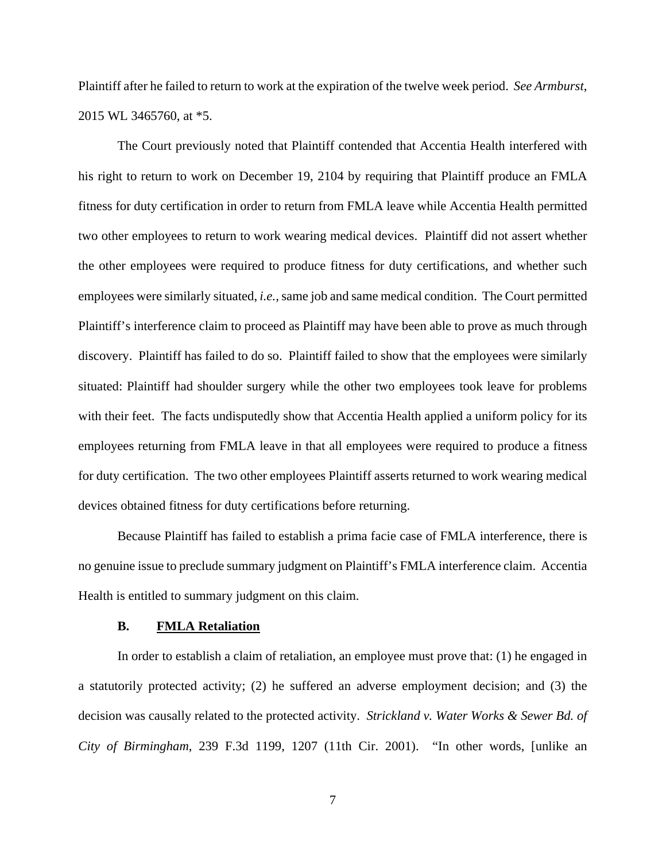Plaintiff after he failed to return to work at the expiration of the twelve week period. *See Armburst*, 2015 WL 3465760, at \*5.

The Court previously noted that Plaintiff contended that Accentia Health interfered with his right to return to work on December 19, 2104 by requiring that Plaintiff produce an FMLA fitness for duty certification in order to return from FMLA leave while Accentia Health permitted two other employees to return to work wearing medical devices. Plaintiff did not assert whether the other employees were required to produce fitness for duty certifications, and whether such employees were similarly situated, *i.e.,* same job and same medical condition. The Court permitted Plaintiff's interference claim to proceed as Plaintiff may have been able to prove as much through discovery. Plaintiff has failed to do so. Plaintiff failed to show that the employees were similarly situated: Plaintiff had shoulder surgery while the other two employees took leave for problems with their feet. The facts undisputedly show that Accentia Health applied a uniform policy for its employees returning from FMLA leave in that all employees were required to produce a fitness for duty certification. The two other employees Plaintiff asserts returned to work wearing medical devices obtained fitness for duty certifications before returning.

Because Plaintiff has failed to establish a prima facie case of FMLA interference, there is no genuine issue to preclude summary judgment on Plaintiff's FMLA interference claim. Accentia Health is entitled to summary judgment on this claim.

### **B. FMLA Retaliation**

In order to establish a claim of retaliation, an employee must prove that: (1) he engaged in a statutorily protected activity; (2) he suffered an adverse employment decision; and (3) the decision was causally related to the protected activity. *Strickland v. Water Works & Sewer Bd. of City of Birmingham*, 239 F.3d 1199, 1207 (11th Cir. 2001). "In other words, [unlike an

7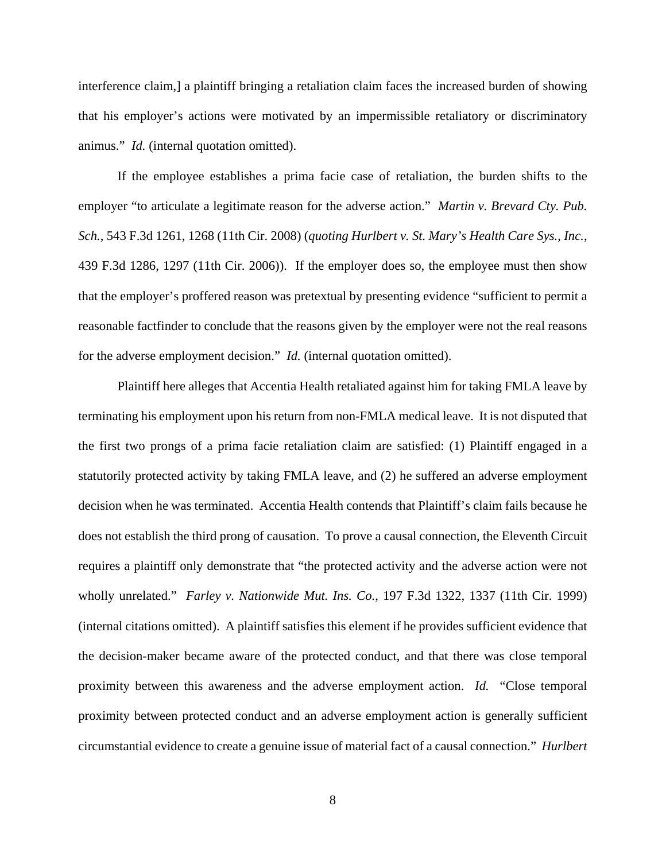interference claim,] a plaintiff bringing a retaliation claim faces the increased burden of showing that his employer's actions were motivated by an impermissible retaliatory or discriminatory animus." *Id.* (internal quotation omitted).

If the employee establishes a prima facie case of retaliation, the burden shifts to the employer "to articulate a legitimate reason for the adverse action." *Martin v. Brevard Cty. Pub. Sch.*, 543 F.3d 1261, 1268 (11th Cir. 2008) (*quoting Hurlbert v. St. Mary's Health Care Sys., Inc.*, 439 F.3d 1286, 1297 (11th Cir. 2006)). If the employer does so, the employee must then show that the employer's proffered reason was pretextual by presenting evidence "sufficient to permit a reasonable factfinder to conclude that the reasons given by the employer were not the real reasons for the adverse employment decision." *Id.* (internal quotation omitted).

Plaintiff here alleges that Accentia Health retaliated against him for taking FMLA leave by terminating his employment upon his return from non-FMLA medical leave. It is not disputed that the first two prongs of a prima facie retaliation claim are satisfied: (1) Plaintiff engaged in a statutorily protected activity by taking FMLA leave, and (2) he suffered an adverse employment decision when he was terminated. Accentia Health contends that Plaintiff's claim fails because he does not establish the third prong of causation. To prove a causal connection, the Eleventh Circuit requires a plaintiff only demonstrate that "the protected activity and the adverse action were not wholly unrelated." *Farley v. Nationwide Mut. Ins. Co.*, 197 F.3d 1322, 1337 (11th Cir. 1999) (internal citations omitted). A plaintiff satisfies this element if he provides sufficient evidence that the decision-maker became aware of the protected conduct, and that there was close temporal proximity between this awareness and the adverse employment action. *Id.* "Close temporal proximity between protected conduct and an adverse employment action is generally sufficient circumstantial evidence to create a genuine issue of material fact of a causal connection." *Hurlbert*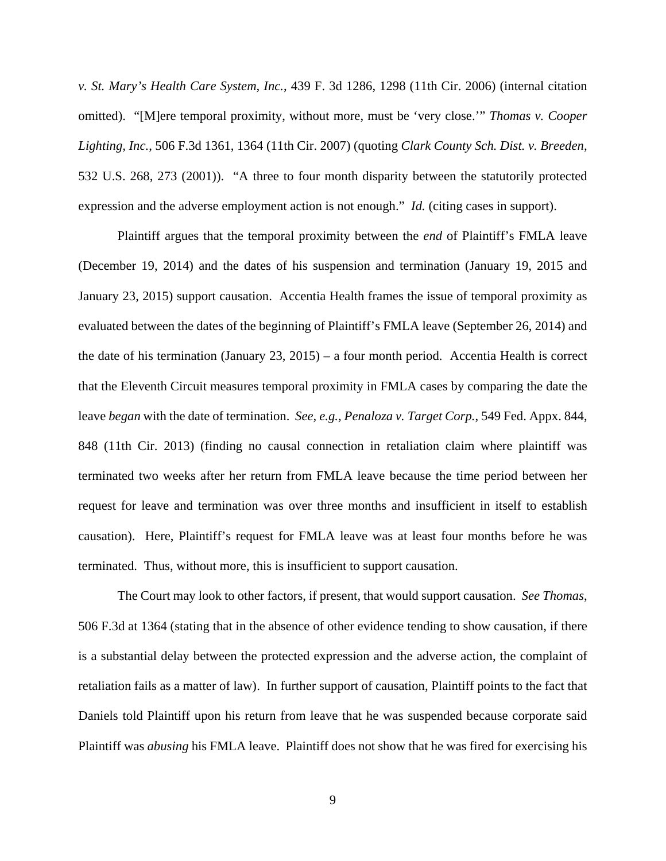*v. St. Mary's Health Care System, Inc.*, 439 F. 3d 1286, 1298 (11th Cir. 2006) (internal citation omitted). "[M]ere temporal proximity, without more, must be 'very close.'" *Thomas v. Cooper Lighting, Inc.*, 506 F.3d 1361, 1364 (11th Cir. 2007) (quoting *Clark County Sch. Dist. v. Breeden,* 532 U.S. 268, 273 (2001)). "A three to four month disparity between the statutorily protected expression and the adverse employment action is not enough." *Id.* (citing cases in support).

Plaintiff argues that the temporal proximity between the *end* of Plaintiff's FMLA leave (December 19, 2014) and the dates of his suspension and termination (January 19, 2015 and January 23, 2015) support causation. Accentia Health frames the issue of temporal proximity as evaluated between the dates of the beginning of Plaintiff's FMLA leave (September 26, 2014) and the date of his termination (January 23, 2015) – a four month period. Accentia Health is correct that the Eleventh Circuit measures temporal proximity in FMLA cases by comparing the date the leave *began* with the date of termination. *See, e.g., Penaloza v. Target Corp.*, 549 Fed. Appx. 844, 848 (11th Cir. 2013) (finding no causal connection in retaliation claim where plaintiff was terminated two weeks after her return from FMLA leave because the time period between her request for leave and termination was over three months and insufficient in itself to establish causation). Here, Plaintiff's request for FMLA leave was at least four months before he was terminated. Thus, without more, this is insufficient to support causation.

The Court may look to other factors, if present, that would support causation. *See Thomas*, 506 F.3d at 1364 (stating that in the absence of other evidence tending to show causation, if there is a substantial delay between the protected expression and the adverse action, the complaint of retaliation fails as a matter of law). In further support of causation, Plaintiff points to the fact that Daniels told Plaintiff upon his return from leave that he was suspended because corporate said Plaintiff was *abusing* his FMLA leave. Plaintiff does not show that he was fired for exercising his